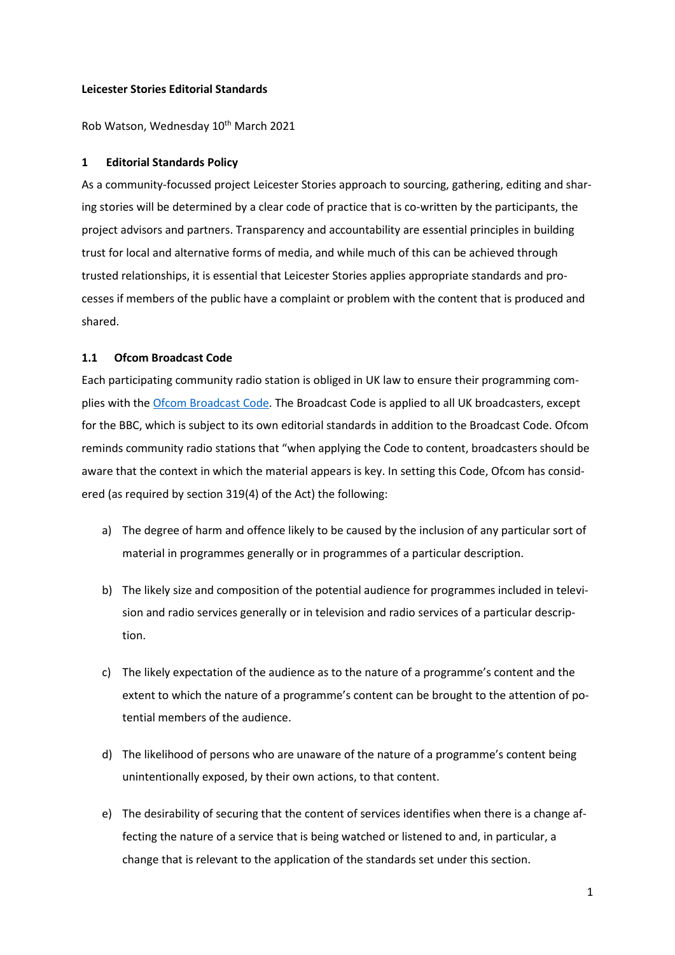#### **Leicester Stories Editorial Standards**

Rob Watson, Wednesday 10<sup>th</sup> March 2021

#### **1 Editorial Standards Policy**

As a community-focussed project Leicester Stories approach to sourcing, gathering, editing and sharing stories will be determined by a clear code of practice that is co-written by the participants, the project advisors and partners. Transparency and accountability are essential principles in building trust for local and alternative forms of media, and while much of this can be achieved through trusted relationships, it is essential that Leicester Stories applies appropriate standards and processes if members of the public have a complaint or problem with the content that is produced and shared.

### **1.1 Ofcom Broadcast Code**

Each participating community radio station is obliged in UK law to ensure their programming com-plies with the [Ofcom Broadcast Code.](https://www.ofcom.org.uk/tv-radio-and-on-demand/broadcast-codes/broadcast-code) The Broadcast Code is applied to all UK broadcasters, except for the BBC, which is subject to its own editorial standards in addition to the Broadcast Code. Ofcom reminds community radio stations that "when applying the Code to content, broadcasters should be aware that the context in which the material appears is key. In setting this Code, Ofcom has considered (as required by section 319(4) of the Act) the following:

- a) The degree of harm and offence likely to be caused by the inclusion of any particular sort of material in programmes generally or in programmes of a particular description.
- b) The likely size and composition of the potential audience for programmes included in television and radio services generally or in television and radio services of a particular description.
- c) The likely expectation of the audience as to the nature of a programme's content and the extent to which the nature of a programme's content can be brought to the attention of potential members of the audience.
- d) The likelihood of persons who are unaware of the nature of a programme's content being unintentionally exposed, by their own actions, to that content.
- e) The desirability of securing that the content of services identifies when there is a change affecting the nature of a service that is being watched or listened to and, in particular, a change that is relevant to the application of the standards set under this section.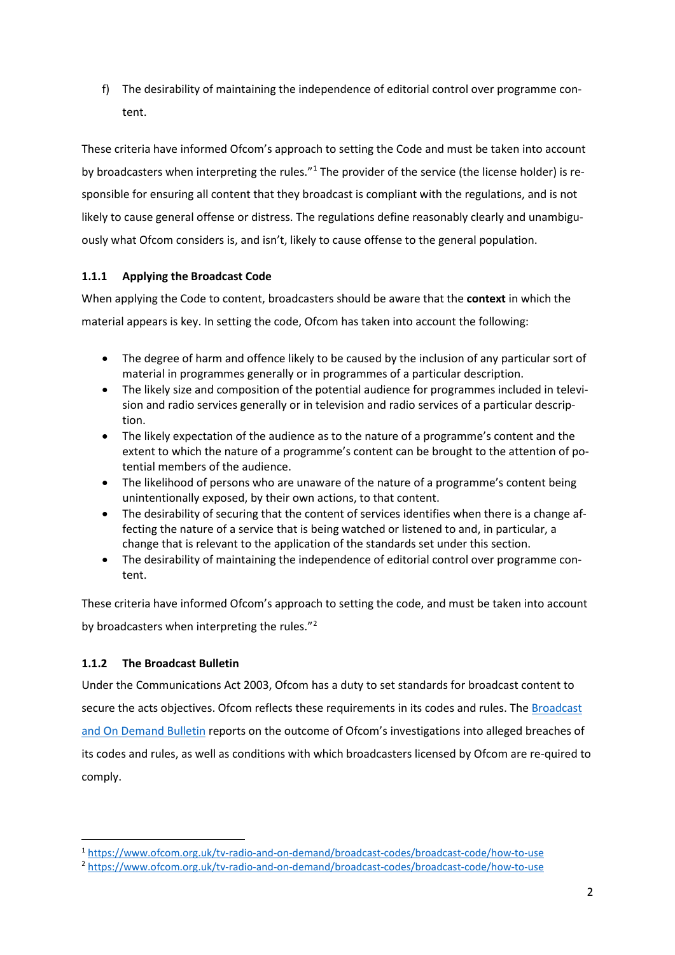f) The desirability of maintaining the independence of editorial control over programme content.

These criteria have informed Ofcom's approach to setting the Code and must be taken into account by broadcasters when interpreting the rules."[1](#page-1-0) The provider of the service (the license holder) is responsible for ensuring all content that they broadcast is compliant with the regulations, and is not likely to cause general offense or distress. The regulations define reasonably clearly and unambiguously what Ofcom considers is, and isn't, likely to cause offense to the general population.

# **1.1.1 Applying the Broadcast Code**

When applying the Code to content, broadcasters should be aware that the **context** in which the material appears is key. In setting the code, Ofcom has taken into account the following:

- The degree of harm and offence likely to be caused by the inclusion of any particular sort of material in programmes generally or in programmes of a particular description.
- The likely size and composition of the potential audience for programmes included in television and radio services generally or in television and radio services of a particular description.
- The likely expectation of the audience as to the nature of a programme's content and the extent to which the nature of a programme's content can be brought to the attention of potential members of the audience.
- The likelihood of persons who are unaware of the nature of a programme's content being unintentionally exposed, by their own actions, to that content.
- The desirability of securing that the content of services identifies when there is a change affecting the nature of a service that is being watched or listened to and, in particular, a change that is relevant to the application of the standards set under this section.
- The desirability of maintaining the independence of editorial control over programme content.

These criteria have informed Ofcom's approach to setting the code, and must be taken into account by broadcasters when interpreting the rules."[2](#page-1-1)

# **1.1.2 The Broadcast Bulletin**

Under the Communications Act 2003, Ofcom has a duty to set standards for broadcast content to secure the acts objectives. Ofcom reflects these requirements in its codes and rules. The Broadcast [and On Demand Bulletin](https://www.ofcom.org.uk/about-ofcom/latest/bulletins/broadcast-bulletins) reports on the outcome of Ofcom's investigations into alleged breaches of its codes and rules, as well as conditions with which broadcasters licensed by Ofcom are re-quired to comply.

<sup>1</sup> <https://www.ofcom.org.uk/tv-radio-and-on-demand/broadcast-codes/broadcast-code/how-to-use>

<span id="page-1-1"></span><span id="page-1-0"></span><sup>2</sup> <https://www.ofcom.org.uk/tv-radio-and-on-demand/broadcast-codes/broadcast-code/how-to-use>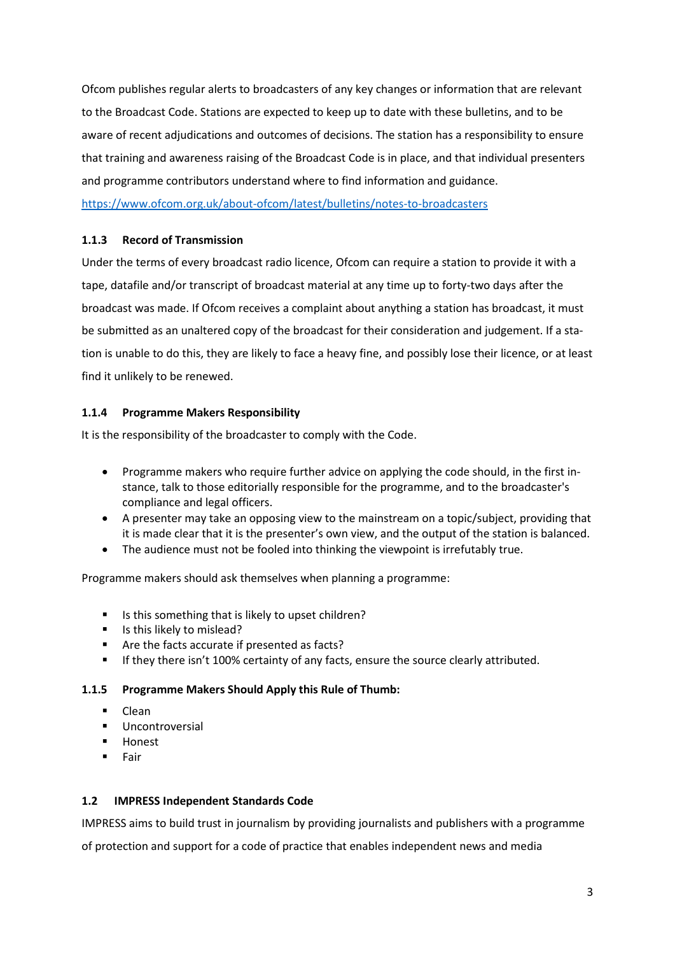Ofcom publishes regular alerts to broadcasters of any key changes or information that are relevant to the Broadcast Code. Stations are expected to keep up to date with these bulletins, and to be aware of recent adjudications and outcomes of decisions. The station has a responsibility to ensure that training and awareness raising of the Broadcast Code is in place, and that individual presenters and programme contributors understand where to find information and guidance. <https://www.ofcom.org.uk/about-ofcom/latest/bulletins/notes-to-broadcasters>

# **1.1.3 Record of Transmission**

Under the terms of every broadcast radio licence, Ofcom can require a station to provide it with a tape, datafile and/or transcript of broadcast material at any time up to forty-two days after the broadcast was made. If Ofcom receives a complaint about anything a station has broadcast, it must be submitted as an unaltered copy of the broadcast for their consideration and judgement. If a station is unable to do this, they are likely to face a heavy fine, and possibly lose their licence, or at least find it unlikely to be renewed.

# **1.1.4 Programme Makers Responsibility**

It is the responsibility of the broadcaster to comply with the Code.

- Programme makers who require further advice on applying the code should, in the first instance, talk to those editorially responsible for the programme, and to the broadcaster's compliance and legal officers.
- A presenter may take an opposing view to the mainstream on a topic/subject, providing that it is made clear that it is the presenter's own view, and the output of the station is balanced.
- The audience must not be fooled into thinking the viewpoint is irrefutably true.

Programme makers should ask themselves when planning a programme:

- Is this something that is likely to upset children?
- Is this likely to mislead?
- Are the facts accurate if presented as facts?
- **If they there isn't 100% certainty of any facts, ensure the source clearly attributed.**

# **1.1.5 Programme Makers Should Apply this Rule of Thumb:**

- $\blacksquare$   $\blacksquare$
- Uncontroversial
- **Honest**
- **Fair**

# **1.2 IMPRESS Independent Standards Code**

IMPRESS aims to build trust in journalism by providing journalists and publishers with a programme

of protection and support for a code of practice that enables independent news and media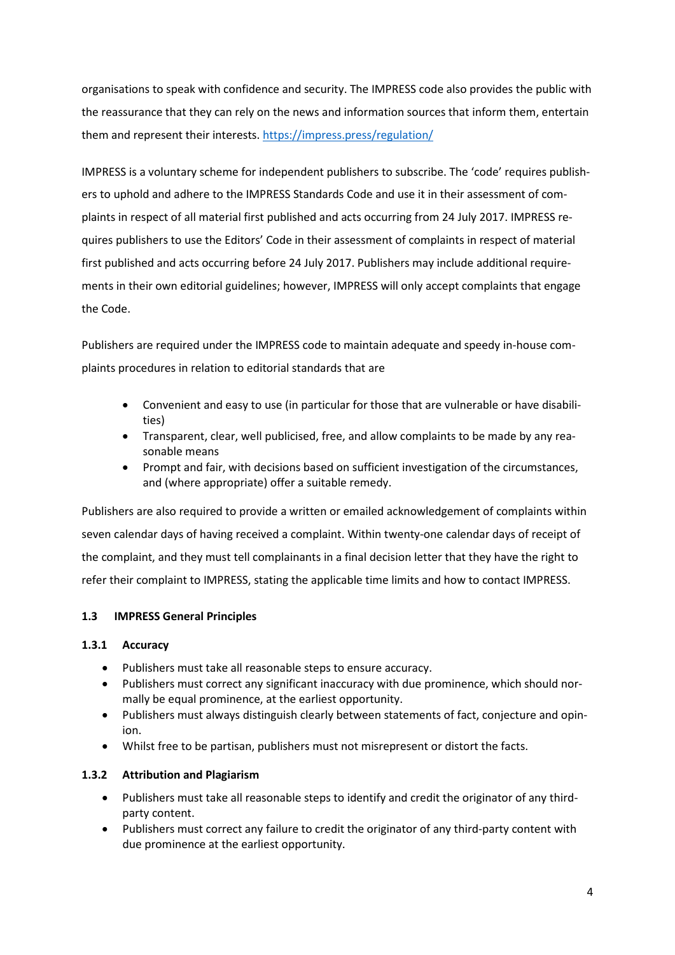organisations to speak with confidence and security. The IMPRESS code also provides the public with the reassurance that they can rely on the news and information sources that inform them, entertain them and represent their interests.<https://impress.press/regulation/>

IMPRESS is a voluntary scheme for independent publishers to subscribe. The 'code' requires publishers to uphold and adhere to the IMPRESS Standards Code and use it in their assessment of complaints in respect of all material first published and acts occurring from 24 July 2017. IMPRESS requires publishers to use the Editors' Code in their assessment of complaints in respect of material first published and acts occurring before 24 July 2017. Publishers may include additional requirements in their own editorial guidelines; however, IMPRESS will only accept complaints that engage the Code.

Publishers are required under the IMPRESS code to maintain adequate and speedy in-house complaints procedures in relation to editorial standards that are

- Convenient and easy to use (in particular for those that are vulnerable or have disabilities)
- Transparent, clear, well publicised, free, and allow complaints to be made by any reasonable means
- Prompt and fair, with decisions based on sufficient investigation of the circumstances, and (where appropriate) offer a suitable remedy.

Publishers are also required to provide a written or emailed acknowledgement of complaints within seven calendar days of having received a complaint. Within twenty-one calendar days of receipt of the complaint, and they must tell complainants in a final decision letter that they have the right to refer their complaint to IMPRESS, stating the applicable time limits and how to contact IMPRESS.

# **1.3 IMPRESS General Principles**

### **1.3.1 Accuracy**

- Publishers must take all reasonable steps to ensure accuracy.
- Publishers must correct any significant inaccuracy with due prominence, which should normally be equal prominence, at the earliest opportunity.
- Publishers must always distinguish clearly between statements of fact, conjecture and opinion.
- Whilst free to be partisan, publishers must not misrepresent or distort the facts.

### **1.3.2 Attribution and Plagiarism**

- Publishers must take all reasonable steps to identify and credit the originator of any thirdparty content.
- Publishers must correct any failure to credit the originator of any third-party content with due prominence at the earliest opportunity.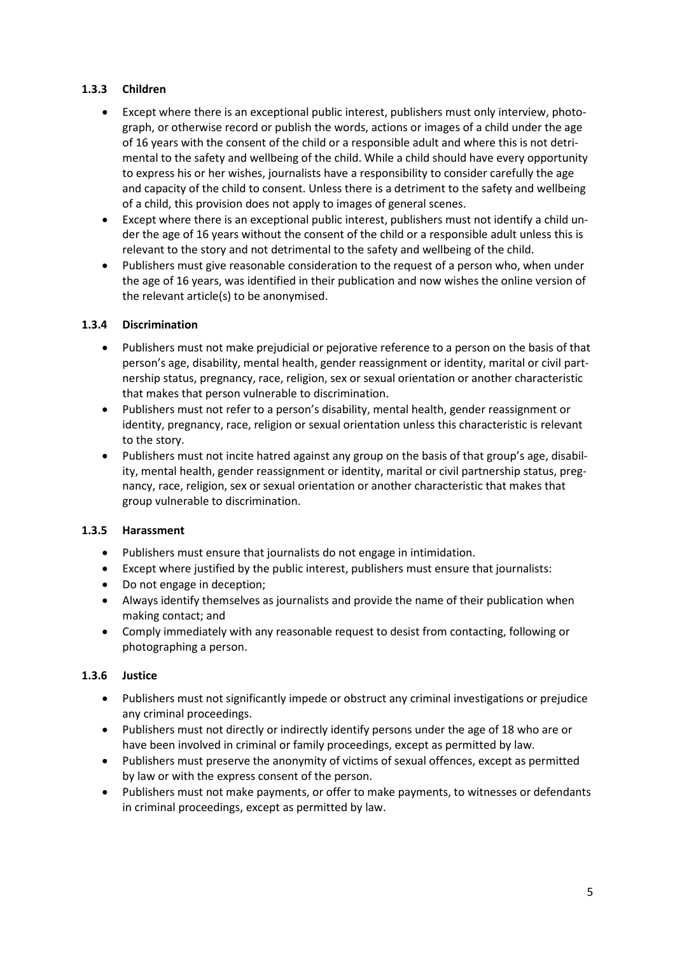# **1.3.3 Children**

- Except where there is an exceptional public interest, publishers must only interview, photograph, or otherwise record or publish the words, actions or images of a child under the age of 16 years with the consent of the child or a responsible adult and where this is not detrimental to the safety and wellbeing of the child. While a child should have every opportunity to express his or her wishes, journalists have a responsibility to consider carefully the age and capacity of the child to consent. Unless there is a detriment to the safety and wellbeing of a child, this provision does not apply to images of general scenes.
- Except where there is an exceptional public interest, publishers must not identify a child under the age of 16 years without the consent of the child or a responsible adult unless this is relevant to the story and not detrimental to the safety and wellbeing of the child.
- Publishers must give reasonable consideration to the request of a person who, when under the age of 16 years, was identified in their publication and now wishes the online version of the relevant article(s) to be anonymised.

# **1.3.4 Discrimination**

- Publishers must not make prejudicial or pejorative reference to a person on the basis of that person's age, disability, mental health, gender reassignment or identity, marital or civil partnership status, pregnancy, race, religion, sex or sexual orientation or another characteristic that makes that person vulnerable to discrimination.
- Publishers must not refer to a person's disability, mental health, gender reassignment or identity, pregnancy, race, religion or sexual orientation unless this characteristic is relevant to the story.
- Publishers must not incite hatred against any group on the basis of that group's age, disability, mental health, gender reassignment or identity, marital or civil partnership status, pregnancy, race, religion, sex or sexual orientation or another characteristic that makes that group vulnerable to discrimination.

# **1.3.5 Harassment**

- Publishers must ensure that journalists do not engage in intimidation.
- Except where justified by the public interest, publishers must ensure that journalists:
- Do not engage in deception;
- Always identify themselves as journalists and provide the name of their publication when making contact; and
- Comply immediately with any reasonable request to desist from contacting, following or photographing a person.

# **1.3.6 Justice**

- Publishers must not significantly impede or obstruct any criminal investigations or prejudice any criminal proceedings.
- Publishers must not directly or indirectly identify persons under the age of 18 who are or have been involved in criminal or family proceedings, except as permitted by law.
- Publishers must preserve the anonymity of victims of sexual offences, except as permitted by law or with the express consent of the person.
- Publishers must not make payments, or offer to make payments, to witnesses or defendants in criminal proceedings, except as permitted by law.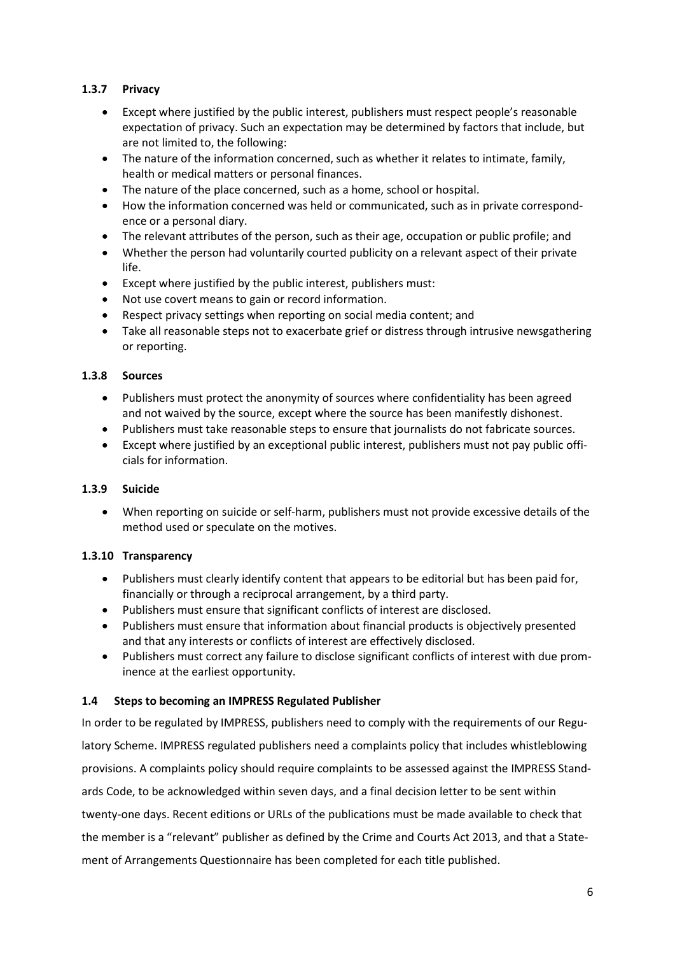# **1.3.7 Privacy**

- Except where justified by the public interest, publishers must respect people's reasonable expectation of privacy. Such an expectation may be determined by factors that include, but are not limited to, the following:
- The nature of the information concerned, such as whether it relates to intimate, family, health or medical matters or personal finances.
- The nature of the place concerned, such as a home, school or hospital.
- How the information concerned was held or communicated, such as in private correspondence or a personal diary.
- The relevant attributes of the person, such as their age, occupation or public profile; and
- Whether the person had voluntarily courted publicity on a relevant aspect of their private life.
- Except where justified by the public interest, publishers must:
- Not use covert means to gain or record information.
- Respect privacy settings when reporting on social media content; and
- Take all reasonable steps not to exacerbate grief or distress through intrusive newsgathering or reporting.

### **1.3.8 Sources**

- Publishers must protect the anonymity of sources where confidentiality has been agreed and not waived by the source, except where the source has been manifestly dishonest.
- Publishers must take reasonable steps to ensure that journalists do not fabricate sources.
- Except where justified by an exceptional public interest, publishers must not pay public officials for information.

# **1.3.9 Suicide**

• When reporting on suicide or self-harm, publishers must not provide excessive details of the method used or speculate on the motives.

# **1.3.10 Transparency**

- Publishers must clearly identify content that appears to be editorial but has been paid for, financially or through a reciprocal arrangement, by a third party.
- Publishers must ensure that significant conflicts of interest are disclosed.
- Publishers must ensure that information about financial products is objectively presented and that any interests or conflicts of interest are effectively disclosed.
- Publishers must correct any failure to disclose significant conflicts of interest with due prominence at the earliest opportunity.

# **1.4 Steps to becoming an IMPRESS Regulated Publisher**

In order to be regulated by IMPRESS, publishers need to comply with the requirements of our Regulatory Scheme. IMPRESS regulated publishers need a complaints policy that includes whistleblowing provisions. A complaints policy should require complaints to be assessed against the IMPRESS Standards Code, to be acknowledged within seven days, and a final decision letter to be sent within twenty-one days. Recent editions or URLs of the publications must be made available to check that the member is a "relevant" publisher as defined by the Crime and Courts Act 2013, and that a Statement of Arrangements Questionnaire has been completed for each title published.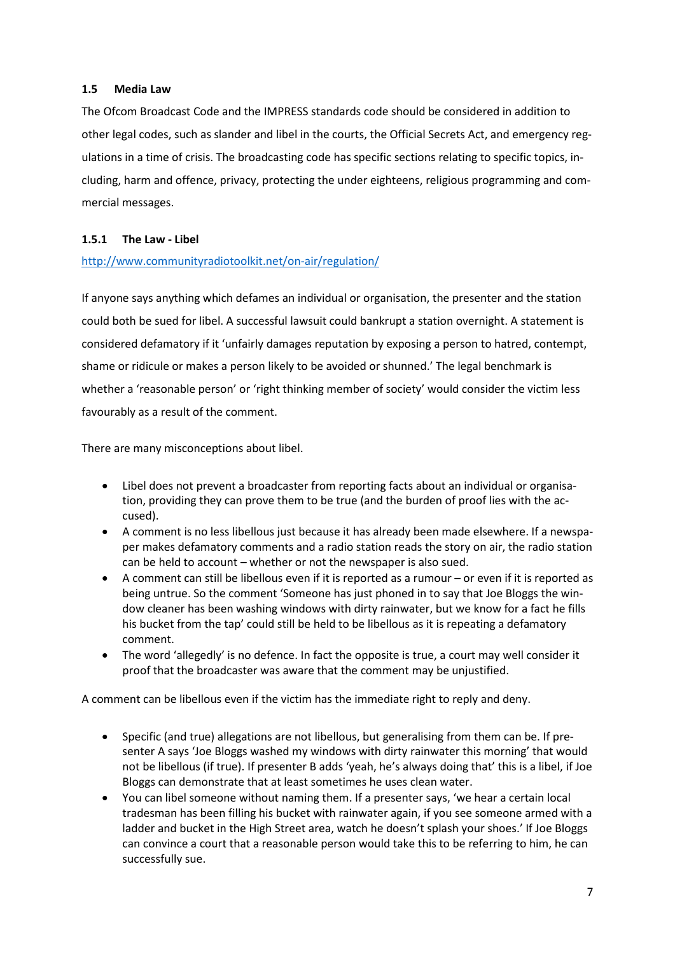### **1.5 Media Law**

The Ofcom Broadcast Code and the IMPRESS standards code should be considered in addition to other legal codes, such as slander and libel in the courts, the Official Secrets Act, and emergency regulations in a time of crisis. The broadcasting code has specific sections relating to specific topics, including, harm and offence, privacy, protecting the under eighteens, religious programming and commercial messages.

# **1.5.1 The Law - Libel**

# <http://www.communityradiotoolkit.net/on-air/regulation/>

If anyone says anything which defames an individual or organisation, the presenter and the station could both be sued for libel. A successful lawsuit could bankrupt a station overnight. A statement is considered defamatory if it 'unfairly damages reputation by exposing a person to hatred, contempt, shame or ridicule or makes a person likely to be avoided or shunned.' The legal benchmark is whether a 'reasonable person' or 'right thinking member of society' would consider the victim less favourably as a result of the comment.

There are many misconceptions about libel.

- Libel does not prevent a broadcaster from reporting facts about an individual or organisation, providing they can prove them to be true (and the burden of proof lies with the accused).
- A comment is no less libellous just because it has already been made elsewhere. If a newspaper makes defamatory comments and a radio station reads the story on air, the radio station can be held to account – whether or not the newspaper is also sued.
- A comment can still be libellous even if it is reported as a rumour or even if it is reported as being untrue. So the comment 'Someone has just phoned in to say that Joe Bloggs the window cleaner has been washing windows with dirty rainwater, but we know for a fact he fills his bucket from the tap' could still be held to be libellous as it is repeating a defamatory comment.
- The word 'allegedly' is no defence. In fact the opposite is true, a court may well consider it proof that the broadcaster was aware that the comment may be unjustified.

A comment can be libellous even if the victim has the immediate right to reply and deny.

- Specific (and true) allegations are not libellous, but generalising from them can be. If presenter A says 'Joe Bloggs washed my windows with dirty rainwater this morning' that would not be libellous (if true). If presenter B adds 'yeah, he's always doing that' this is a libel, if Joe Bloggs can demonstrate that at least sometimes he uses clean water.
- You can libel someone without naming them. If a presenter says, 'we hear a certain local tradesman has been filling his bucket with rainwater again, if you see someone armed with a ladder and bucket in the High Street area, watch he doesn't splash your shoes.' If Joe Bloggs can convince a court that a reasonable person would take this to be referring to him, he can successfully sue.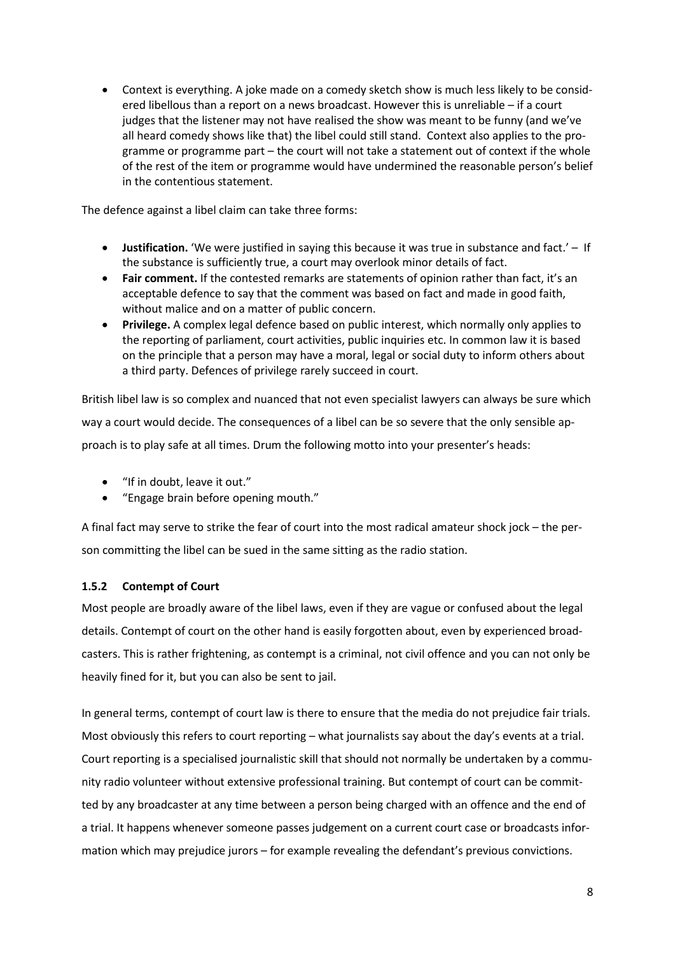• Context is everything. A joke made on a comedy sketch show is much less likely to be considered libellous than a report on a news broadcast. However this is unreliable – if a court judges that the listener may not have realised the show was meant to be funny (and we've all heard comedy shows like that) the libel could still stand. Context also applies to the programme or programme part – the court will not take a statement out of context if the whole of the rest of the item or programme would have undermined the reasonable person's belief in the contentious statement.

The defence against a libel claim can take three forms:

- **Justification.** 'We were justified in saying this because it was true in substance and fact.' If the substance is sufficiently true, a court may overlook minor details of fact.
- **Fair comment.** If the contested remarks are statements of opinion rather than fact, it's an acceptable defence to say that the comment was based on fact and made in good faith, without malice and on a matter of public concern.
- **Privilege.** A complex legal defence based on public interest, which normally only applies to the reporting of parliament, court activities, public inquiries etc. In common law it is based on the principle that a person may have a moral, legal or social duty to inform others about a third party. Defences of privilege rarely succeed in court.

British libel law is so complex and nuanced that not even specialist lawyers can always be sure which way a court would decide. The consequences of a libel can be so severe that the only sensible approach is to play safe at all times. Drum the following motto into your presenter's heads:

- "If in doubt, leave it out."
- "Engage brain before opening mouth."

A final fact may serve to strike the fear of court into the most radical amateur shock jock – the person committing the libel can be sued in the same sitting as the radio station.

# **1.5.2 Contempt of Court**

Most people are broadly aware of the libel laws, even if they are vague or confused about the legal details. Contempt of court on the other hand is easily forgotten about, even by experienced broadcasters. This is rather frightening, as contempt is a criminal, not civil offence and you can not only be heavily fined for it, but you can also be sent to jail.

In general terms, contempt of court law is there to ensure that the media do not prejudice fair trials. Most obviously this refers to court reporting – what journalists say about the day's events at a trial. Court reporting is a specialised journalistic skill that should not normally be undertaken by a community radio volunteer without extensive professional training. But contempt of court can be committed by any broadcaster at any time between a person being charged with an offence and the end of a trial. It happens whenever someone passes judgement on a current court case or broadcasts information which may prejudice jurors – for example revealing the defendant's previous convictions.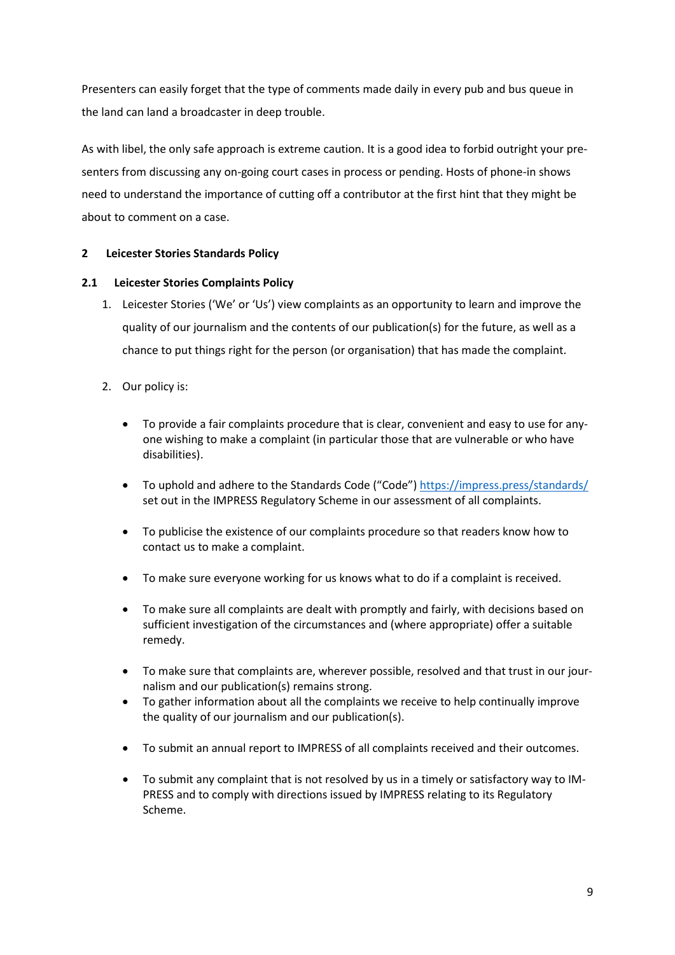Presenters can easily forget that the type of comments made daily in every pub and bus queue in the land can land a broadcaster in deep trouble.

As with libel, the only safe approach is extreme caution. It is a good idea to forbid outright your presenters from discussing any on-going court cases in process or pending. Hosts of phone-in shows need to understand the importance of cutting off a contributor at the first hint that they might be about to comment on a case.

### **2 Leicester Stories Standards Policy**

### **2.1 Leicester Stories Complaints Policy**

- 1. Leicester Stories ('We' or 'Us') view complaints as an opportunity to learn and improve the quality of our journalism and the contents of our publication(s) for the future, as well as a chance to put things right for the person (or organisation) that has made the complaint.
- 2. Our policy is:
	- To provide a fair complaints procedure that is clear, convenient and easy to use for anyone wishing to make a complaint (in particular those that are vulnerable or who have disabilities).
	- To uphold and adhere to the Standards Code ("Code")<https://impress.press/standards/> set out in the IMPRESS Regulatory Scheme in our assessment of all complaints.
	- To publicise the existence of our complaints procedure so that readers know how to contact us to make a complaint.
	- To make sure everyone working for us knows what to do if a complaint is received.
	- To make sure all complaints are dealt with promptly and fairly, with decisions based on sufficient investigation of the circumstances and (where appropriate) offer a suitable remedy.
	- To make sure that complaints are, wherever possible, resolved and that trust in our journalism and our publication(s) remains strong.
	- To gather information about all the complaints we receive to help continually improve the quality of our journalism and our publication(s).
	- To submit an annual report to IMPRESS of all complaints received and their outcomes.
	- To submit any complaint that is not resolved by us in a timely or satisfactory way to IM-PRESS and to comply with directions issued by IMPRESS relating to its Regulatory Scheme.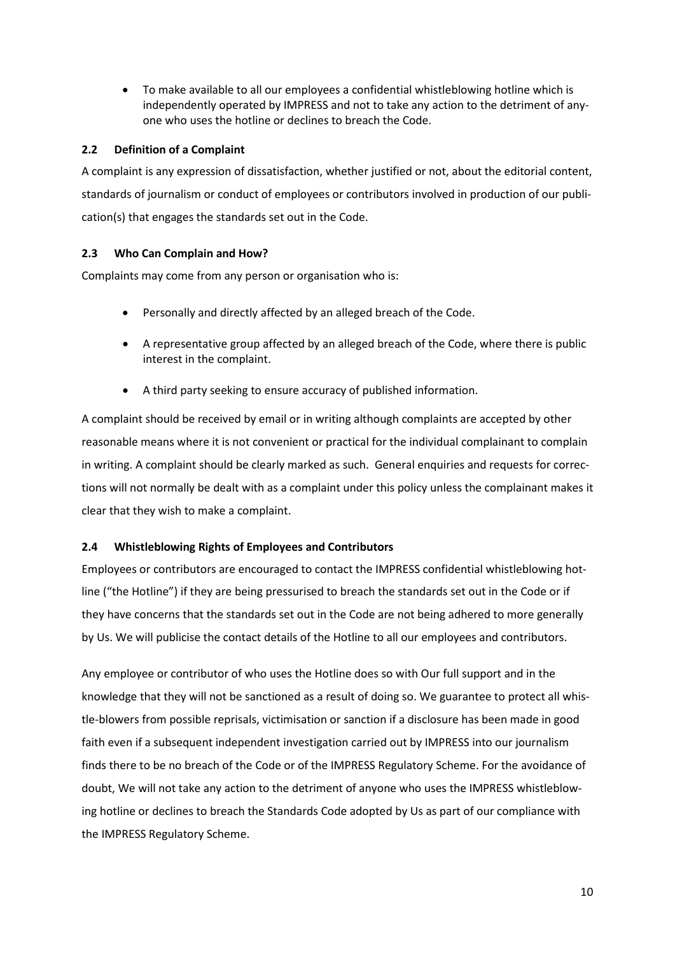• To make available to all our employees a confidential whistleblowing hotline which is independently operated by IMPRESS and not to take any action to the detriment of anyone who uses the hotline or declines to breach the Code.

# **2.2 Definition of a Complaint**

A complaint is any expression of dissatisfaction, whether justified or not, about the editorial content, standards of journalism or conduct of employees or contributors involved in production of our publication(s) that engages the standards set out in the Code.

# **2.3 Who Can Complain and How?**

Complaints may come from any person or organisation who is:

- Personally and directly affected by an alleged breach of the Code.
- A representative group affected by an alleged breach of the Code, where there is public interest in the complaint.
- A third party seeking to ensure accuracy of published information.

A complaint should be received by email or in writing although complaints are accepted by other reasonable means where it is not convenient or practical for the individual complainant to complain in writing. A complaint should be clearly marked as such. General enquiries and requests for corrections will not normally be dealt with as a complaint under this policy unless the complainant makes it clear that they wish to make a complaint.

# **2.4 Whistleblowing Rights of Employees and Contributors**

Employees or contributors are encouraged to contact the IMPRESS confidential whistleblowing hotline ("the Hotline") if they are being pressurised to breach the standards set out in the Code or if they have concerns that the standards set out in the Code are not being adhered to more generally by Us. We will publicise the contact details of the Hotline to all our employees and contributors.

Any employee or contributor of who uses the Hotline does so with Our full support and in the knowledge that they will not be sanctioned as a result of doing so. We guarantee to protect all whistle-blowers from possible reprisals, victimisation or sanction if a disclosure has been made in good faith even if a subsequent independent investigation carried out by IMPRESS into our journalism finds there to be no breach of the Code or of the IMPRESS Regulatory Scheme. For the avoidance of doubt, We will not take any action to the detriment of anyone who uses the IMPRESS whistleblowing hotline or declines to breach the Standards Code adopted by Us as part of our compliance with the IMPRESS Regulatory Scheme.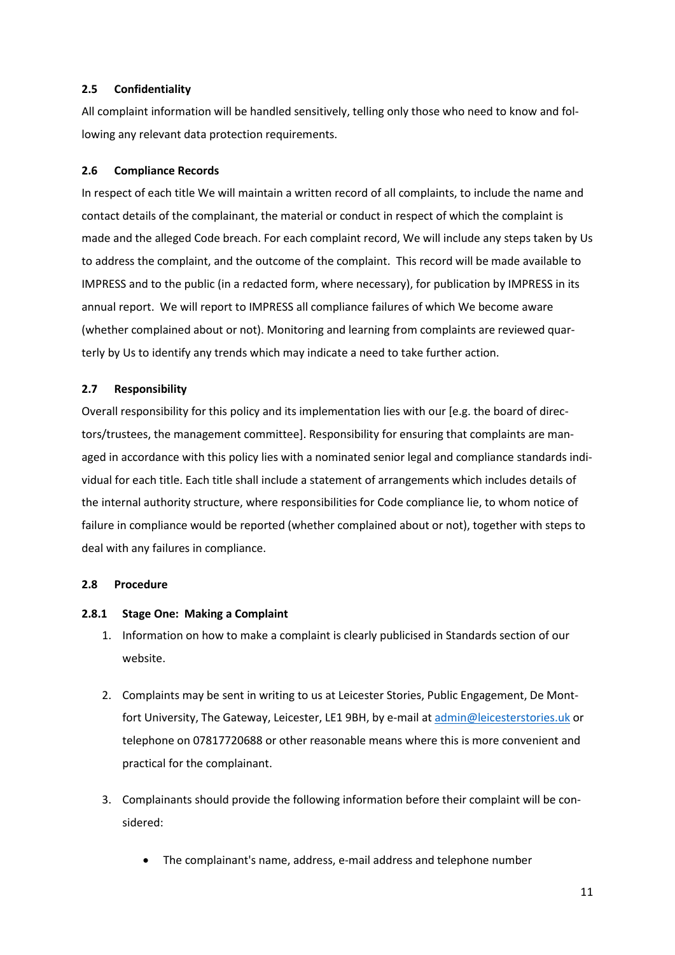### **2.5 Confidentiality**

All complaint information will be handled sensitively, telling only those who need to know and following any relevant data protection requirements.

### **2.6 Compliance Records**

In respect of each title We will maintain a written record of all complaints, to include the name and contact details of the complainant, the material or conduct in respect of which the complaint is made and the alleged Code breach. For each complaint record, We will include any steps taken by Us to address the complaint, and the outcome of the complaint. This record will be made available to IMPRESS and to the public (in a redacted form, where necessary), for publication by IMPRESS in its annual report. We will report to IMPRESS all compliance failures of which We become aware (whether complained about or not). Monitoring and learning from complaints are reviewed quarterly by Us to identify any trends which may indicate a need to take further action.

### **2.7 Responsibility**

Overall responsibility for this policy and its implementation lies with our [e.g. the board of directors/trustees, the management committee]. Responsibility for ensuring that complaints are managed in accordance with this policy lies with a nominated senior legal and compliance standards individual for each title. Each title shall include a statement of arrangements which includes details of the internal authority structure, where responsibilities for Code compliance lie, to whom notice of failure in compliance would be reported (whether complained about or not), together with steps to deal with any failures in compliance.

### **2.8 Procedure**

### **2.8.1 Stage One: Making a Complaint**

- 1. Information on how to make a complaint is clearly publicised in Standards section of our website.
- 2. Complaints may be sent in writing to us at Leicester Stories, Public Engagement, De Montfort University, The Gateway, Leicester, LE1 9BH, by e-mail at [admin@leicesterstories.uk](mailto:admin@leicesterstories.uk) or telephone on 07817720688 or other reasonable means where this is more convenient and practical for the complainant.
- 3. Complainants should provide the following information before their complaint will be considered:
	- The complainant's name, address, e-mail address and telephone number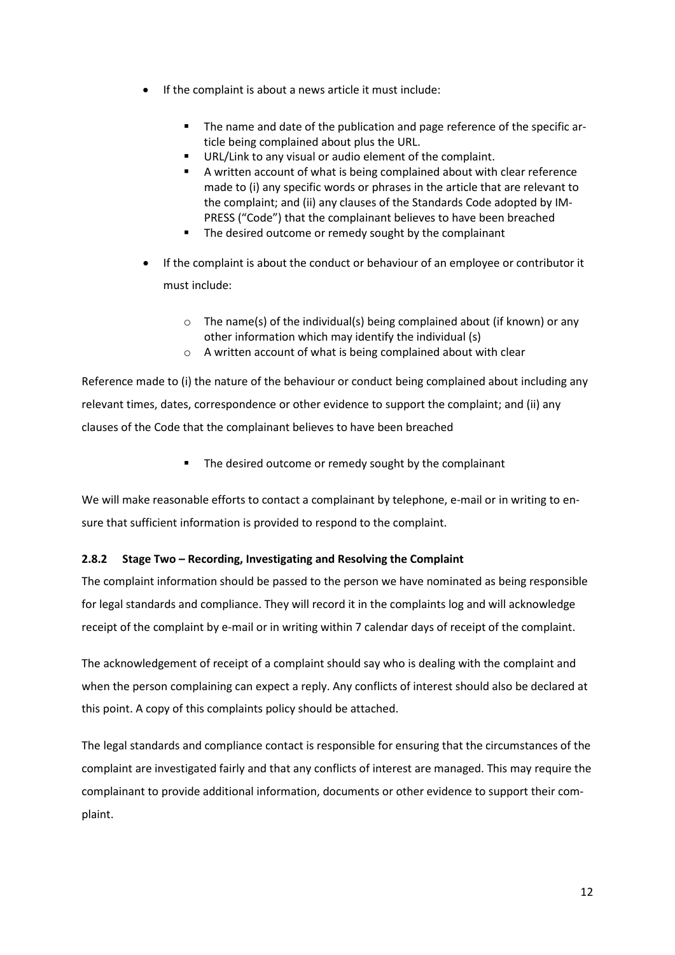- If the complaint is about a news article it must include:
	- The name and date of the publication and page reference of the specific article being complained about plus the URL.
	- URL/Link to any visual or audio element of the complaint.
	- A written account of what is being complained about with clear reference made to (i) any specific words or phrases in the article that are relevant to the complaint; and (ii) any clauses of the Standards Code adopted by IM-PRESS ("Code") that the complainant believes to have been breached
	- **The desired outcome or remedy sought by the complainant**
- If the complaint is about the conduct or behaviour of an employee or contributor it must include:
	- $\circ$  The name(s) of the individual(s) being complained about (if known) or any other information which may identify the individual (s)
	- o A written account of what is being complained about with clear

Reference made to (i) the nature of the behaviour or conduct being complained about including any relevant times, dates, correspondence or other evidence to support the complaint; and (ii) any clauses of the Code that the complainant believes to have been breached

**The desired outcome or remedy sought by the complainant** 

We will make reasonable efforts to contact a complainant by telephone, e-mail or in writing to ensure that sufficient information is provided to respond to the complaint.

### **2.8.2 Stage Two – Recording, Investigating and Resolving the Complaint**

The complaint information should be passed to the person we have nominated as being responsible for legal standards and compliance. They will record it in the complaints log and will acknowledge receipt of the complaint by e-mail or in writing within 7 calendar days of receipt of the complaint.

The acknowledgement of receipt of a complaint should say who is dealing with the complaint and when the person complaining can expect a reply. Any conflicts of interest should also be declared at this point. A copy of this complaints policy should be attached.

The legal standards and compliance contact is responsible for ensuring that the circumstances of the complaint are investigated fairly and that any conflicts of interest are managed. This may require the complainant to provide additional information, documents or other evidence to support their complaint.